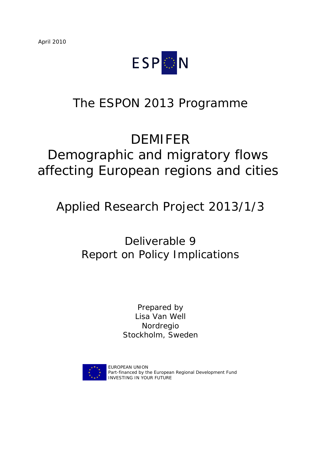

## The ESPON 2013 Programme

# DEMIFER

# Demographic and migratory flows affecting European regions and cities

## Applied Research Project 2013/1/3

## Deliverable 9 Report on Policy Implications

Prepared by Lisa Van Well Nordregio Stockholm, Sweden



EUROPEAN UNION Part-financed by the European Regional Development Fund INVESTING IN YOUR FUTURE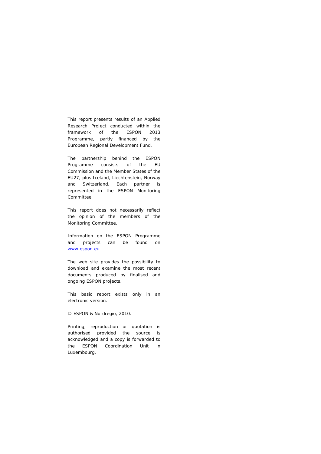This report presents results of an Applied Research Project conducted within the framework of the ESPON 2013 Programme, partly financed by the European Regional Development Fund.

The partnership behind the ESPON Programme consists of the EU Commission and the Member States of the EU27, plus Iceland, Liechtenstein, Norway and Switzerland. Each partner is represented in the ESPON Monitoring Committee.

This report does not necessarily reflect the opinion of the members of the Monitoring Committee.

Information on the ESPON Programme and projects can be found on www.espon.eu

The web site provides the possibility to download and examine the most recent documents produced by finalised and ongoing ESPON projects.

This basic report exists only in an electronic version.

© ESPON & Nordregio, 2010.

Printing, reproduction or quotation is authorised provided the source is acknowledged and a copy is forwarded to the ESPON Coordination Unit in Luxembourg.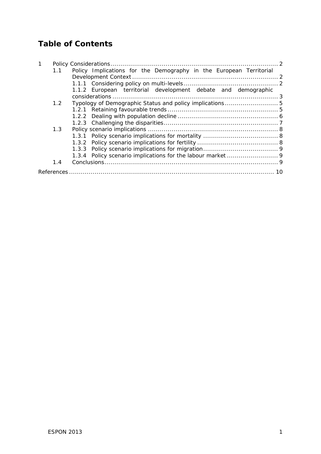### **Table of Contents**

|  | 1.1 | Policy Implications for the Demography in the European Territorial |  |
|--|-----|--------------------------------------------------------------------|--|
|  |     |                                                                    |  |
|  |     |                                                                    |  |
|  |     | 1.1.2 European territorial development debate and demographic      |  |
|  |     |                                                                    |  |
|  | 1.2 |                                                                    |  |
|  |     |                                                                    |  |
|  |     |                                                                    |  |
|  |     |                                                                    |  |
|  | 1.3 |                                                                    |  |
|  |     |                                                                    |  |
|  |     |                                                                    |  |
|  |     |                                                                    |  |
|  |     |                                                                    |  |
|  | 1.4 |                                                                    |  |
|  |     |                                                                    |  |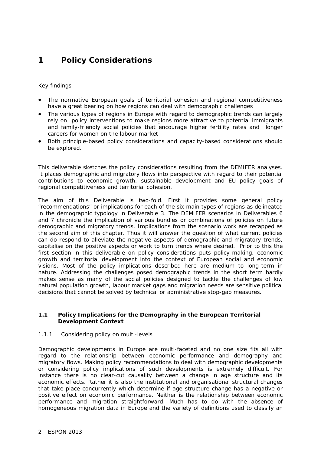### **1 Policy Considerations**

#### *Key findings*

- *The normative European goals of territorial cohesion and regional competitiveness have a great bearing on how regions can deal with demographic challenges*
- *The various types of regions in Europe with regard to demographic trends can largely rely on policy interventions to make regions more attractive to potential immigrants and family-friendly social policies that encourage higher fertility rates and longer careers for women on the labour market*
- *Both principle-based policy considerations and capacity-based considerations should be explored.*

This deliverable sketches the policy considerations resulting from the DEMIFER analyses. It places demographic and migratory flows into perspective with regard to their potential contributions to economic growth, sustainable development and EU policy goals of regional competitiveness and territorial cohesion.

The aim of this Deliverable is two-fold. First it provides some general policy "recommendations" or implications for each of the six main types of regions as delineated in the demographic typology in Deliverable 3. The DEMIFER scenarios in Deliverables 6 and 7 chronicle the implication of various bundles or combinations of policies on future demographic and migratory trends. Implications from the scenario work are recapped as the second aim of this chapter. Thus it will answer the question of what current policies can do respond to alleviate the negative aspects of demographic and migratory trends, capitalise on the positive aspects or work to turn trends where desired. Prior to this the first section in this deliverable on policy considerations puts policy-making, economic growth and territorial development into the context of European social and economic visions. Most of the policy implications described here are medium to long-term in nature. Addressing the challenges posed demographic trends in the short term hardly makes sense as many of the social policies designed to tackle the challenges of low natural population growth, labour market gaps and migration needs are sensitive political decisions that cannot be solved by technical or administrative stop-gap measures.

#### **1.1 Policy Implications for the Demography in the European Territorial Development Context**

#### *1.1.1 Considering policy on multi-levels*

Demographic developments in Europe are multi-faceted and no one size fits all with regard to the relationship between economic performance and demography and migratory flows. Making policy recommendations to deal with demographic developments or considering policy implications of such developments is extremely difficult. For instance there is no clear-cut causality between a change in age structure and its economic effects. Rather it is also the institutional and organisational structural changes that take place concurrently which determine if age structure change has a negative or positive effect on economic performance. Neither is the relationship between economic performance and migration straightforward. Much has to do with the absence of homogeneous migration data in Europe and the variety of definitions used to classify an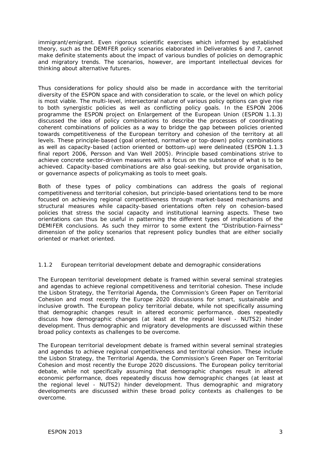immigrant/emigrant. Even rigorous scientific exercises which informed by established theory, such as the DEMIFER policy scenarios elaborated in Deliverables 6 and 7, cannot make definite statements about the impact of various bundles of policies on demographic and migratory trends. The scenarios, however, are important intellectual devices for thinking about alternative futures.

Thus considerations for policy should also be made in accordance with the territorial diversity of the ESPON space and with consideration to scale, or the level on which policy is most viable. The multi-level, intersectoral nature of various policy options can give rise to both synergistic policies as well as conflicting policy goals. In the ESPON 2006 programme the ESPON project on Enlargement of the European Union (ESPON 1.1.3) discussed the idea of policy combinations to describe the processes of coordinating coherent combinations of policies as a way to bridge the gap between policies oriented towards competitiveness of the European territory and cohesion of the territory at all levels. These *principle-based* (goal oriented, normative or top-down) policy combinations as well as capacity-based (action oriented or bottom-up) were delineated (ESPON 1.1.3 final report 2006, Persson and Van Well 2005). Principle based combinations strive to achieve concrete sector-driven measures with a focus on the substance of what is to be achieved. Capacity-based combinations are also goal-seeking, but provide organisation, or governance aspects of policymaking as tools to meet goals.

Both of these types of policy combinations can address the goals of regional competitiveness and territorial cohesion, but principle-based orientations tend to be more focused on achieving regional competitiveness through market-based mechanisms and structural measures while capacity-based orientations often rely on cohesion-based policies that stress the social capacity and institutional learning aspects. These two orientations can thus be useful in patterning the different types of implications of the DEMIFER conclusions. As such they mirror to some extent the "Distribution-Fairness" dimension of the policy scenarios that represent policy bundles that are either socially oriented or market oriented.

#### *1.1.2 European territorial development debate and demographic considerations*

The European territorial development debate is framed within several seminal strategies and agendas to achieve regional competitiveness and territorial cohesion. These include the Lisbon Strategy, the Territorial Agenda, the Commission's Green Paper on Territorial Cohesion and most recently the Europe 2020 discussions for smart, sustainable and inclusive growth. The European policy territorial debate, while not specifically assuming that demographic changes result in altered economic performance, does repeatedly discuss how demographic changes (at least at the regional level - NUTS2) hinder development. Thus demographic and migratory developments are discussed within these broad policy contexts as challenges to be overcome.

The European territorial development debate is framed within several seminal strategies and agendas to achieve regional competitiveness and territorial cohesion. These include the Lisbon Strategy, the Territorial Agenda, the Commission's Green Paper on Territorial Cohesion and most recently the Europe 2020 discussions. The European policy territorial debate, while not specifically assuming that demographic changes result in altered economic performance, does repeatedly discuss how demographic changes (at least at the regional level - NUTS2) hinder development. Thus demographic and migratory developments are discussed within these broad policy contexts as challenges to be overcome.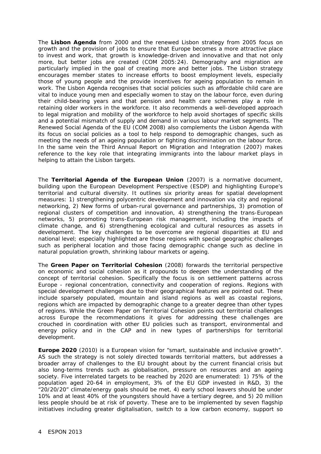The **Lisbon Agenda** from 2000 and the renewed Lisbon strategy from 2005 focus on growth and the provision of jobs to ensure that Europe becomes a more attractive place to invest and work, that growth is knowledge-driven and innovative and that not only more, but better jobs are created (COM 2005:24). Demography and migration are particularly implied in the goal of creating more and better jobs. The Lisbon strategy encourages member states to increase efforts to boost employment levels, especially those of young people and the provide incentives for ageing population to remain in work. The Lisbon Agenda recognises that social policies such as affordable child care are vital to induce young men and especially women to stay on the labour force, even during their child-bearing years and that pension and health care schemes play a role in retaining older workers in the workforce. It also recommends a well-developed approach to legal migration and mobility of the workforce to help avoid shortages of specific skills and a potential mismatch of supply and demand in various labour market segments. The Renewed Social Agenda of the EU (COM 2008) also complements the Lisbon Agenda with its focus on social policies as a tool to help respond to demographic changes, such as meeting the needs of an ageing population or fighting discrimination on the labour force. In the same vein the Third Annual Report on Migration and Integration (2007) makes reference to the key role that integrating immigrants into the labour market plays in helping to attain the Lisbon targets.

The **Territorial Agenda of the European Union** (2007) is a normative document, building upon the European Development Perspective (ESDP) and highlighting Europe's territorial and cultural diversity. It outlines six priority areas for spatial development measures: 1) strengthening polycentric development and innovation via city and regional networking, 2) New forms of urban-rural governance and partnerships, 3) promotion of regional clusters of competition and innovation, 4) strengthening the trans-European networks, 5) promoting trans-European risk management, including the impacts of climate change, and 6) strengthening ecological and cultural resources as assets in development. The key challenges to be overcome are regional disparities at EU and national level; especially highlighted are those regions with special geographic challenges such as peripheral location and those facing demographic change such as decline in natural population growth, shrinking labour markets or ageing.

The **Green Paper on Territorial Cohesion** (2008) forwards the territorial perspective on economic and social cohesion as it propounds to deepen the understanding of the concept of territorial cohesion. Specifically the focus is on settlement patterns across Europe - regional concentration, connectivity and cooperation of regions. Regions with special development challenges due to their geographical features are pointed out. These include sparsely populated, mountain and island regions as well as coastal regions, regions which are impacted by demographic change to a greater degree than other types of regions. While the Green Paper on Territorial Cohesion points out territorial challenges across Europe the recommendations it gives for addressing these challenges are crouched in coordination with other EU policies such as transport, environmental and energy policy and in the CAP and in new types of partnerships for territorial development.

**Europe 2020** (2010) is a European vision for "smart, sustainable and inclusive growth". AS such the strategy is not solely directed towards territorial matters, but addresses a broader array of challenges to the EU brought about by the current financial crisis but also long-terms trends such as globalisation, pressure on resources and an ageing society. Five interrelated targets to be reached by 2020 are enumerated: 1) 75% of the population aged 20-64 in employment, 3% of the EU GDP invested in R&D, 3) the "20/20/20" climate/energy goals should be met, 4) early school leavers should be under 10% and at least 40% of the youngsters should have a tertiary degree, and 5) 20 million less people should be at risk of poverty. These are to be implemented by seven flagship initiatives including greater digitalisation, switch to a low carbon economy, support so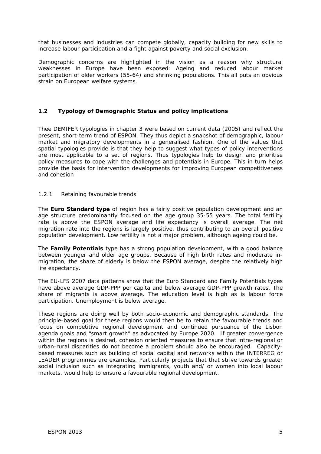that businesses and industries can compete globally, capacity building for new skills to increase labour participation and a fight against poverty and social exclusion.

Demographic concerns are highlighted in the vision as a reason why structural weaknesses in Europe have been exposed: Ageing and reduced labour market participation of older workers (55-64) and shrinking populations. This all puts an obvious strain on European welfare systems.

#### **1.2 Typology of Demographic Status and policy implications**

Thee DEMIFER typologies in chapter 3 were based on current data (2005) and reflect the present, short-term trend of ESPON. They thus depict a snapshot of demographic, labour market and migratory developments in a generalised fashion. One of the values that spatial typologies provide is that they help to suggest what types of policy interventions are most applicable to a set of regions. Thus typologies help to design and prioritise policy measures to cope with the challenges and potentials in Europe. This in turn helps provide the basis for intervention developments for improving European competitiveness and cohesion

#### *1.2.1 Retaining favourable trends*

The **Euro Standard type** of region has a fairly positive population development and an age structure predominantly focused on the age group 35-55 years. The total fertility rate is above the ESPON average and life expectancy is overall average. The net migration rate into the regions is largely positive, thus contributing to an overall positive population development. Low fertility is not a major problem, although ageing could be.

The **Family Potentials** type has a strong population development, with a good balance between younger and older age groups. Because of high birth rates and moderate inmigration, the share of elderly is below the ESPON average, despite the relatively high life expectancy.

The EU-LFS 2007 data patterns show that the Euro Standard and Family Potentials types have above average GDP-PPP per capita and below average GDP-PPP growth rates. The share of migrants is above average. The education level is high as is labour force participation. Unemployment is below average.

These regions are doing well by both socio-economic and demographic standards. The *principle-based* goal for these regions would then be to retain the favourable trends and focus on competitive regional development and continued pursuance of the Lisbon agenda goals and "smart growth" as advocated by Europe 2020. If greater convergence within the regions is desired, cohesion oriented measures to ensure that intra-regional or urban-rural disparities do not become a problem should also be encouraged. Capacitybased measures such as building of social capital and networks within the INTERREG or LEADER programmes are examples. Particularly projects that that strive towards greater social inclusion such as integrating immigrants, youth and/ or women into local labour markets, would help to ensure a favourable regional development.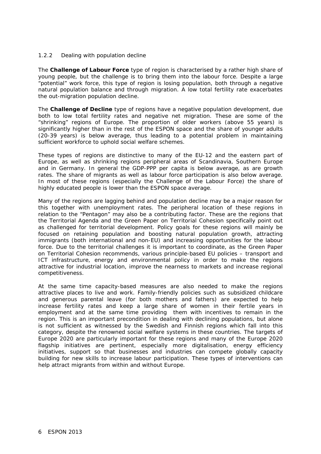#### *1.2.2 Dealing with population decline*

The **Challenge of Labour Force** type of region is characterised by a rather high share of young people, but the challenge is to bring them into the labour force. Despite a large "potential" work force, this type of region is losing population, both through a negative natural population balance and through migration. A low total fertility rate exacerbates the out-migration population decline.

The **Challenge of Decline** type of regions have a negative population development, due both to low total fertility rates and negative net migration. These are some of the "shrinking" regions of Europe. The proportion of older workers (above 55 years) is significantly higher than in the rest of the ESPON space and the share of younger adults (20-39 years) is below average, thus leading to a potential problem in maintaining sufficient workforce to uphold social welfare schemes.

These types of regions are distinctive to many of the EU-12 and the eastern part of Europe, as well as shrinking regions peripheral areas of Scandinavia, Southern Europe and in Germany. In general the GDP-PPP per capita is below average, as are growth rates. The share of migrants as well as labour force participation is also below average. In most of these regions (especially the Challenge of the Labour Force) the share of highly educated people is lower than the ESPON space average.

Many of the regions are lagging behind and population decline may be a major reason for this together with unemployment rates. The peripheral location of these regions in relation to the "Pentagon" may also be a contributing factor. These are the regions that the Territorial Agenda and the Green Paper on Territorial Cohesion specifically point out as challenged for territorial development. Policy goals for these regions will mainly be focused on retaining population and boosting natural population growth, attracting immigrants (both international and non-EU) and increasing opportunities for the labour force. Due to the territorial challenges it is important to coordinate, as the Green Paper on Territorial Cohesion recommends, various *principle-based* EU policies – transport and ICT infrastructure, energy and environmental policy in order to make the regions attractive for industrial location, improve the nearness to markets and increase regional competitiveness.

At the same time *capacity-based* measures are also needed to make the regions attractive places to live and work. Family-friendly policies such as subsidized childcare and generous parental leave (for both mothers and fathers) are expected to help increase fertility rates and keep a large share of women in their fertile years in employment and at the same time providing them with incentives to remain in the region. This is an important precondition in dealing with declining populations, but alone is not sufficient as witnessed by the Swedish and Finnish regions which fall into this category, despite the renowned social welfare systems in these countries. The targets of Europe 2020 are particularly important for these regions and many of the Europe 2020 flagship initiatives are pertinent, especially more digitalisation, energy efficiency initiatives, support so that businesses and industries can compete globally capacity building for new skills to increase labour participation. These types of interventions can help attract migrants from within and without Europe.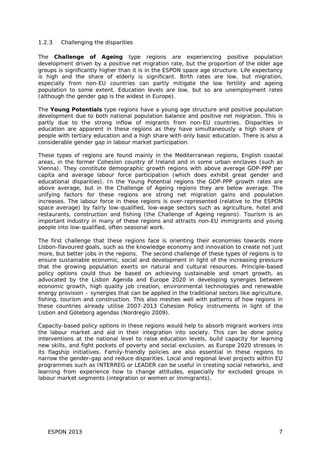#### *1.2.3 Challenging the disparities*

The **Challenge of Ageing** type regions are experiencing positive population development driven by a positive net migration rate, but the proportion of the older age groups is significantly higher than it is in the ESPON space age structure. Life expectancy is high and the share of elderly is significant. Birth rates are low, but migration, especially from non-EU countries can partly mitigate the low fertility and ageing population to some extent. Education levels are low, but so are unemployment rates (although the gender gap is the widest in Europe).

The **Young Potentials** type regions have a young age structure and positive population development due to both national population balance and positive net migration. This is partly due to the strong inflow of migrants from non-EU countries. Disparities in education are apparent in these regions as they have simultaneously a high share of people with tertiary education and a high share with only basic education. There is also a considerable gender gap in labour market participation.

These types of regions are found mainly in the Mediterranean regions, English coastal areas, in the former Cohesion country of Ireland and in some urban enclaves (such as Vienna). They constitute demographic growth regions with above average GDP-PPP per capita and average labour force participation (which does exhibit great gender and educational disparities). In the Young Potential regions the GDP-PPP growth rates are above average, but in the Challenge of Ageing regions they are below average. The unifying factors for these regions are strong net migration gains and population increases. The labour force in these regions is over-represented (relative to the ESPON space average) by fairly low-qualified, low-wage sectors such as agriculture, hotel and restaurants, construction and fishing (the Challenge of Ageing regions). Tourism is an important industry in many of these regions and attracts non-EU immigrants and young people into low-qualified, often seasonal work.

The first challenge that these regions face is orienting their economies towards more Lisbon-flavoured goals, such as the knowledge economy and innovation to create not just more, but *better* jobs in the regions. The second challenge of these types of regions is to ensure sustainable economic, social and development in light of the increasing pressure that the growing population exerts on natural and cultural resources. *Principle-based* policy options could thus be based on achieving sustainable and smart growth, as advocated by the Lisbon Agenda and Europe 2020 in developing synergies between economic growth, high quality job creation, environmental technologies and renewable energy provision – synergies that can be applied in the traditional sectors like agriculture, fishing, tourism and construction. This also meshes well with patterns of how regions in these countries already utilise 2007-2013 Cohesion Policy instruments in light of the Lisbon and Göteborg agendas (Nordregio 2009).

*Capacity-based* policy options in these regions would help to absorb migrant workers into the labour market and aid in their integration into society. This can be done policy interventions at the national level to raise education levels, build capacity for learning new skills, and fight pockets of poverty and social exclusion, as Europe 2020 stresses in its flagship initiatives. Family-friendly policies are also essential in these regions to narrow the gender-gap and reduce disparities. Local and regional level projects within EU programmes such as INTERREG or LEADER can be useful in creating social networks, and learning from experience how to change attitudes, especially for excluded groups in labour market segments (integration or women or immigrants).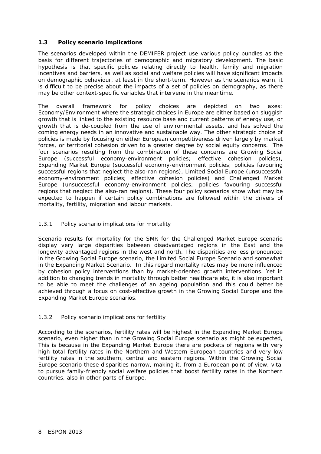#### **1.3 Policy scenario implications**

The scenarios developed within the DEMIFER project use various policy bundles as the basis for different trajectories of demographic and migratory development. The basic hypothesis is that specific policies relating directly to health, family and migration incentives and barriers, as well as social and welfare policies will have significant impacts on demographic behaviour, at least in the short-term. However as the scenarios warn, it is difficult to be precise about the impacts of a set of policies on demography, as there may be other context-specific variables that intervene in the meantime.

The overall framework for policy choices are depicted on two axes: Economy/Environment where the strategic choices in Europe are either based on sluggish growth that is linked to the existing resource base and current patterns of energy use, or growth that is de-coupled from the use of environmental assets, and has solved the coming energy needs in an innovative and sustainable way. The other strategic choice of policies is made by focusing on either European competitiveness driven largely by market forces, or territorial cohesion driven to a greater degree by social equity concerns. The four scenarios resulting from the combination of these concerns are *Growing Social Europe* (successful economy-environment policies; effective cohesion policies), *Expanding Market Europe* (successful economy-environment policies; policies favouring successful regions that neglect the also-ran regions), *Limited Social Europe* (unsuccessful economy-environment policies; effective cohesion policies) and *Challenged Market Europe* (unsuccessful economy-environment policies; policies favouring successful regions that neglect the also-ran regions). These four policy scenarios show what may be expected to happen if certain policy combinations are followed within the drivers of mortality, fertility, migration and labour markets.

#### *1.3.1 Policy scenario implications for mortality*

Scenario results for mortality for the SMR for the Challenged Market Europe scenario display very large disparities between disadvantaged regions in the East and the longevity advantaged regions in the west and north. The disparities are less pronounced in the Growing Social Europe scenario, the Limited Social Europe Scenario and somewhat in the Expanding Market Scenario. In this regard mortality rates may be more influenced by cohesion policy interventions than by market-oriented growth interventions. Yet in addition to changing trends in mortality through better healthcare etc, it is also important to be able to meet the challenges of an ageing population and this could better be achieved through a focus on cost-effective growth in the Growing Social Europe and the Expanding Market Europe scenarios.

#### *1.3.2 Policy scenario implications for fertility*

According to the scenarios, fertility rates will be highest in the Expanding Market Europe scenario, even higher than in the Growing Social Europe scenario as might be expected, This is because in the Expanding Market Europe there are pockets of regions with very high total fertility rates in the Northern and Western European countries and very low fertility rates in the southern, central and eastern regions. Within the Growing Social Europe scenario these disparities narrow, making it, from a European point of view, vital to pursue family-friendly social welfare policies that boost fertility rates in the Northern countries, also in other parts of Europe.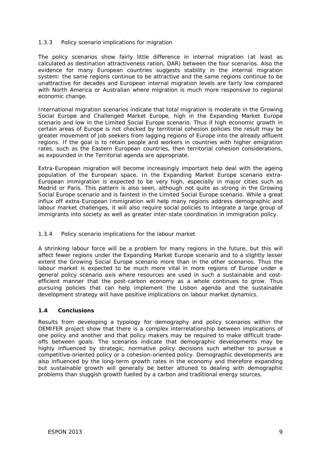#### *1.3.3 Policy scenario implications for migration*

The policy scenarios show fairly little difference in internal migration (at least as calculated as destination attractiveness ration, DAR) between the four scenarios. Also the evidence for many European countries suggests stability in the internal migration system: the same regions continue to be attractive and the same regions continue to be unattractive for decades and European internal migration levels are fairly low compared with North America or Australian where migration is much more responsive to regional economic change.

International migration scenarios indicate that total migration is moderate in the Growing Social Europe and Challenged Market Europe, high in the Expanding Market Europe scenario and low in the Limited Social Europe scenario. Thus if high economic growth in certain areas of Europe is not checked by territorial cohesion policies the result may be greater movement of job seekers from lagging regions of Europe into the already affluent regions. If the goal is to retain people and workers in countries with higher emigration rates, such as the Eastern European countries, then territorial cohesion considerations, as expounded in the Territorial agenda are appropriate.

Extra-European migration will become increasingly important help deal with the ageing population of the European space. In the Expanding Market Europe scenario extra-European immigration is expected to be very high, especially in major cities such as Madrid or Paris. This pattern is also seen, although not quite as strong in the Growing Social Europe scenario and is faintest in the Limited Social Europe scenario. While a great influx off extra-European Immigration will help many regions address demographic and labour market challenges, it will also require social policies to integrate a large group of immigrants into society as well as greater inter-state coordination in immigration policy.

#### *1.3.4 Policy scenario implications for the labour market*

A shrinking labour force will be a problem for many regions in the future, but this will affect fewer regions under the Expanding Market Europe scenario and to a slightly lesser extent the Growing Social Europe scenario more than in the other scenarios. Thus the labour market is expected to be much more vital in more regions of Europe under a general policy scenario axis where resources are used in such a sustainable and costefficient manner that the post-carbon economy as a whole continues to grow. Thus pursuing policies that can help implement the Lisbon agenda and the sustainable development strategy will have positive implications on labour market dynamics.

#### **1.4 Conclusions**

Results from developing a typology for demography and policy scenarios within the DEMIFER project show that there is a complex interrelationship between implications of one policy and another and that policy makers may be required to make difficult tradeoffs between goals. The scenarios indicate that demographic developments may be highly influenced by strategic, normative policy decisions such whether to pursue a competitive-oriented policy or a cohesion-oriented policy. Demographic developments are also influenced by the long-term growth rates in the economy and therefore expanding but sustainable growth will generally be better attuned to dealing with demographic problems than sluggish growth fuelled by a carbon and traditional energy sources.